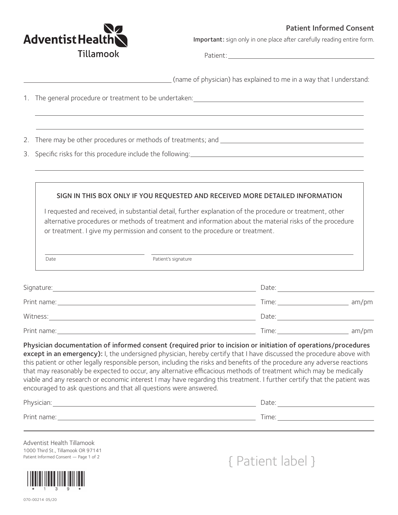## Patient Informed Consent



 $\overline{\phantom{0}}$ 

Important: sign only in one place after carefully reading entire form.

Patient:

|                                                                                                                                                                                                                                                                                                                                                                                                                                                                                                                                                                                                                                                                                                                                                                                                             |                                                                                                                                                                                                                                                                                                                                                                                         | (name of physician) has explained to me in a way that I understand: |                                                                                                                                                                                                                               |  |
|-------------------------------------------------------------------------------------------------------------------------------------------------------------------------------------------------------------------------------------------------------------------------------------------------------------------------------------------------------------------------------------------------------------------------------------------------------------------------------------------------------------------------------------------------------------------------------------------------------------------------------------------------------------------------------------------------------------------------------------------------------------------------------------------------------------|-----------------------------------------------------------------------------------------------------------------------------------------------------------------------------------------------------------------------------------------------------------------------------------------------------------------------------------------------------------------------------------------|---------------------------------------------------------------------|-------------------------------------------------------------------------------------------------------------------------------------------------------------------------------------------------------------------------------|--|
| 1. The general procedure or treatment to be undertaken: National Communication of the control of the control of                                                                                                                                                                                                                                                                                                                                                                                                                                                                                                                                                                                                                                                                                             |                                                                                                                                                                                                                                                                                                                                                                                         |                                                                     |                                                                                                                                                                                                                               |  |
|                                                                                                                                                                                                                                                                                                                                                                                                                                                                                                                                                                                                                                                                                                                                                                                                             |                                                                                                                                                                                                                                                                                                                                                                                         |                                                                     |                                                                                                                                                                                                                               |  |
|                                                                                                                                                                                                                                                                                                                                                                                                                                                                                                                                                                                                                                                                                                                                                                                                             |                                                                                                                                                                                                                                                                                                                                                                                         |                                                                     |                                                                                                                                                                                                                               |  |
|                                                                                                                                                                                                                                                                                                                                                                                                                                                                                                                                                                                                                                                                                                                                                                                                             | SIGN IN THIS BOX ONLY IF YOU REQUESTED AND RECEIVED MORE DETAILED INFORMATION<br>I requested and received, in substantial detail, further explanation of the procedure or treatment, other<br>alternative procedures or methods of treatment and information about the material risks of the procedure<br>or treatment. I give my permission and consent to the procedure or treatment. |                                                                     |                                                                                                                                                                                                                               |  |
|                                                                                                                                                                                                                                                                                                                                                                                                                                                                                                                                                                                                                                                                                                                                                                                                             |                                                                                                                                                                                                                                                                                                                                                                                         |                                                                     |                                                                                                                                                                                                                               |  |
| Date                                                                                                                                                                                                                                                                                                                                                                                                                                                                                                                                                                                                                                                                                                                                                                                                        | Patient's signature<br><u> 1980 - John Stein, Amerikaansk politiker (* 1918)</u>                                                                                                                                                                                                                                                                                                        |                                                                     |                                                                                                                                                                                                                               |  |
|                                                                                                                                                                                                                                                                                                                                                                                                                                                                                                                                                                                                                                                                                                                                                                                                             |                                                                                                                                                                                                                                                                                                                                                                                         |                                                                     |                                                                                                                                                                                                                               |  |
|                                                                                                                                                                                                                                                                                                                                                                                                                                                                                                                                                                                                                                                                                                                                                                                                             |                                                                                                                                                                                                                                                                                                                                                                                         |                                                                     |                                                                                                                                                                                                                               |  |
|                                                                                                                                                                                                                                                                                                                                                                                                                                                                                                                                                                                                                                                                                                                                                                                                             |                                                                                                                                                                                                                                                                                                                                                                                         |                                                                     | Date: Date: Date: Date: Date: Date: Date: Date: Date: Date: Date: Date: Date: Date: Date: Date: Date: Date: Date: Date: Date: Date: Date: Date: Date: Date: Date: Date: Date: Date: Date: Date: Date: Date: Date: Date: Date: |  |
|                                                                                                                                                                                                                                                                                                                                                                                                                                                                                                                                                                                                                                                                                                                                                                                                             |                                                                                                                                                                                                                                                                                                                                                                                         |                                                                     |                                                                                                                                                                                                                               |  |
|                                                                                                                                                                                                                                                                                                                                                                                                                                                                                                                                                                                                                                                                                                                                                                                                             |                                                                                                                                                                                                                                                                                                                                                                                         |                                                                     |                                                                                                                                                                                                                               |  |
| Witness: 2008. [2013] Date: 2014 [2013] Date: 2014 [2013] Date: 2014 [2014] Date: 2014 [2014] Date: 2014 [2014<br>Physician documentation of informed consent (required prior to incision or initiation of operations/procedures<br>except in an emergency): I, the undersigned physician, hereby certify that I have discussed the procedure above with<br>this patient or other legally responsible person, including the risks and benefits of the procedure any adverse reactions<br>that may reasonably be expected to occur, any alternative efficacious methods of treatment which may be medically<br>viable and any research or economic interest I may have regarding this treatment. I further certify that the patient was<br>encouraged to ask questions and that all questions were answered. |                                                                                                                                                                                                                                                                                                                                                                                         |                                                                     |                                                                                                                                                                                                                               |  |

1000 Third St., Tillamook OR 97141



Patient Informed Consent — Page 1 of 2  $\{$  Patient label  $\}$ 

 $\overline{\phantom{0}}$